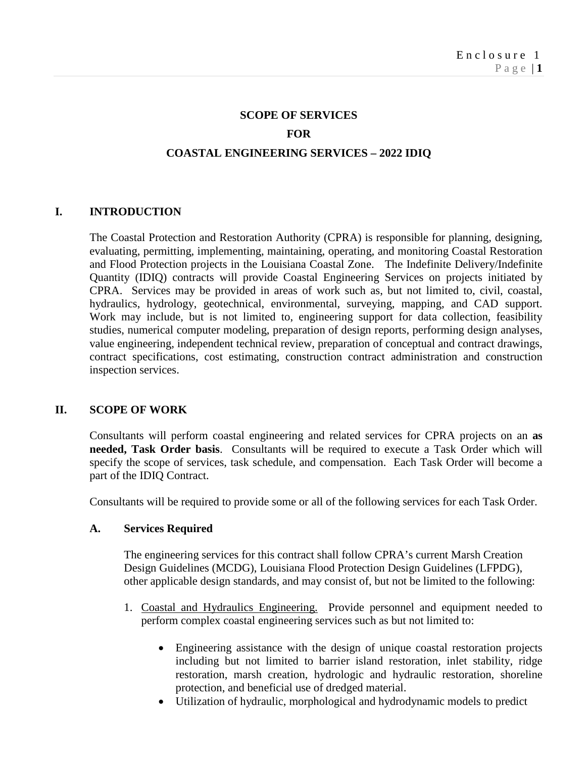# **SCOPE OF SERVICES FOR COASTAL ENGINEERING SERVICES – 2022 IDIQ**

## **I. INTRODUCTION**

The Coastal Protection and Restoration Authority (CPRA) is responsible for planning, designing, evaluating, permitting, implementing, maintaining, operating, and monitoring Coastal Restoration and Flood Protection projects in the Louisiana Coastal Zone. The Indefinite Delivery/Indefinite Quantity (IDIQ) contracts will provide Coastal Engineering Services on projects initiated by CPRA. Services may be provided in areas of work such as, but not limited to, civil, coastal, hydraulics, hydrology, geotechnical, environmental, surveying, mapping, and CAD support. Work may include, but is not limited to, engineering support for data collection, feasibility studies, numerical computer modeling, preparation of design reports, performing design analyses, value engineering, independent technical review, preparation of conceptual and contract drawings, contract specifications, cost estimating, construction contract administration and construction inspection services.

#### **II. SCOPE OF WORK**

Consultants will perform coastal engineering and related services for CPRA projects on an **as needed, Task Order basis**. Consultants will be required to execute a Task Order which will specify the scope of services, task schedule, and compensation. Each Task Order will become a part of the IDIQ Contract.

Consultants will be required to provide some or all of the following services for each Task Order.

#### **A. Services Required**

The engineering services for this contract shall follow CPRA's current Marsh Creation Design Guidelines (MCDG), Louisiana Flood Protection Design Guidelines (LFPDG), other applicable design standards, and may consist of, but not be limited to the following:

- 1. Coastal and Hydraulics Engineering. Provide personnel and equipment needed to perform complex coastal engineering services such as but not limited to:
	- Engineering assistance with the design of unique coastal restoration projects including but not limited to barrier island restoration, inlet stability, ridge restoration, marsh creation, hydrologic and hydraulic restoration, shoreline protection, and beneficial use of dredged material.
	- Utilization of hydraulic, morphological and hydrodynamic models to predict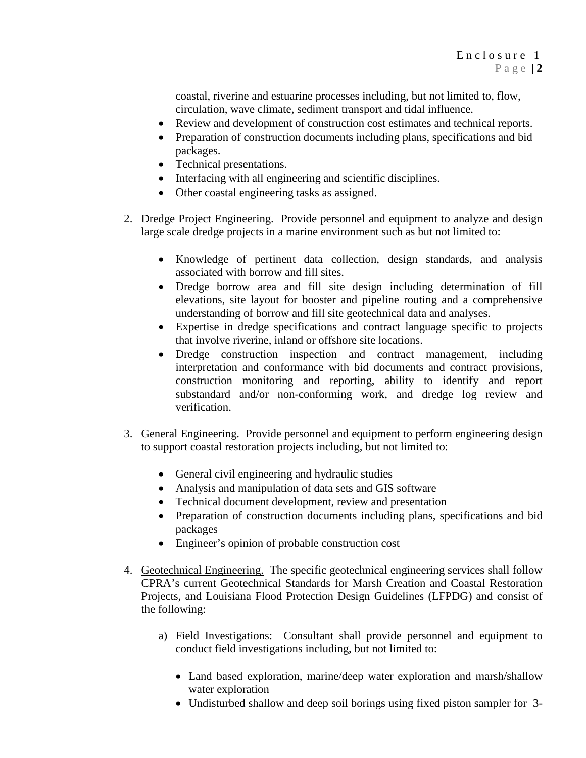coastal, riverine and estuarine processes including, but not limited to, flow, circulation, wave climate, sediment transport and tidal influence.

- Review and development of construction cost estimates and technical reports.
- Preparation of construction documents including plans, specifications and bid packages.
- Technical presentations.
- Interfacing with all engineering and scientific disciplines.
- Other coastal engineering tasks as assigned.
- 2. Dredge Project Engineering. Provide personnel and equipment to analyze and design large scale dredge projects in a marine environment such as but not limited to:
	- Knowledge of pertinent data collection, design standards, and analysis associated with borrow and fill sites.
	- Dredge borrow area and fill site design including determination of fill elevations, site layout for booster and pipeline routing and a comprehensive understanding of borrow and fill site geotechnical data and analyses.
	- Expertise in dredge specifications and contract language specific to projects that involve riverine, inland or offshore site locations.
	- Dredge construction inspection and contract management, including interpretation and conformance with bid documents and contract provisions, construction monitoring and reporting, ability to identify and report substandard and/or non-conforming work, and dredge log review and verification.
- 3. General Engineering. Provide personnel and equipment to perform engineering design to support coastal restoration projects including, but not limited to:
	- General civil engineering and hydraulic studies
	- Analysis and manipulation of data sets and GIS software
	- Technical document development, review and presentation
	- Preparation of construction documents including plans, specifications and bid packages
	- Engineer's opinion of probable construction cost
- 4. Geotechnical Engineering. The specific geotechnical engineering services shall follow CPRA's current Geotechnical Standards for Marsh Creation and Coastal Restoration Projects, and Louisiana Flood Protection Design Guidelines (LFPDG) and consist of the following:
	- a) Field Investigations: Consultant shall provide personnel and equipment to conduct field investigations including, but not limited to:
		- Land based exploration, marine/deep water exploration and marsh/shallow water exploration
		- Undisturbed shallow and deep soil borings using fixed piston sampler for 3-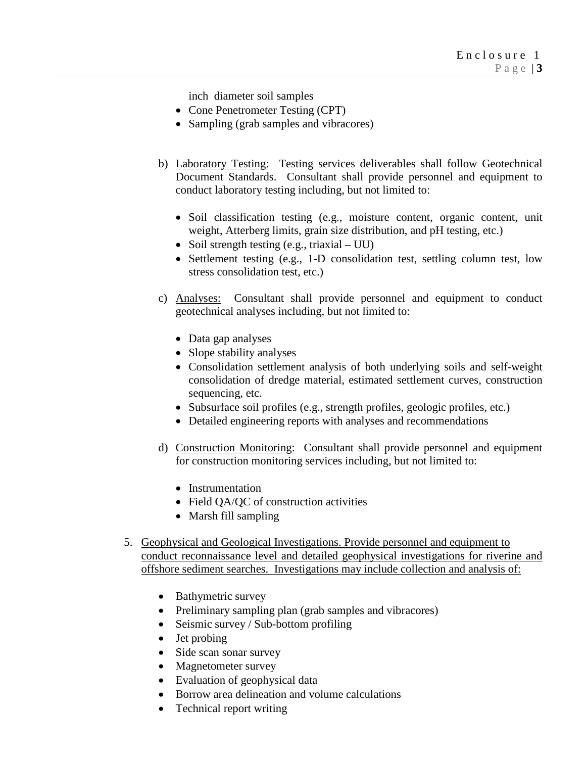inch diameter soil samples

- Cone Penetrometer Testing (CPT)
- Sampling (grab samples and vibracores)
- b) Laboratory Testing: Testing services deliverables shall follow Geotechnical Document Standards. Consultant shall provide personnel and equipment to conduct laboratory testing including, but not limited to:
	- Soil classification testing (e.g., moisture content, organic content, unit weight, Atterberg limits, grain size distribution, and pH testing, etc.)
	- Soil strength testing (e.g., triaxial UU)
	- Settlement testing (e.g., 1-D consolidation test, settling column test, low stress consolidation test, etc.)
- c) Analyses: Consultant shall provide personnel and equipment to conduct geotechnical analyses including, but not limited to:
	- Data gap analyses
	- Slope stability analyses
	- Consolidation settlement analysis of both underlying soils and self-weight consolidation of dredge material, estimated settlement curves, construction sequencing, etc.
	- Subsurface soil profiles (e.g., strength profiles, geologic profiles, etc.)
	- Detailed engineering reports with analyses and recommendations
- d) Construction Monitoring: Consultant shall provide personnel and equipment for construction monitoring services including, but not limited to:
	- Instrumentation
	- Field QA/QC of construction activities
	- Marsh fill sampling
- 5. Geophysical and Geological Investigations. Provide personnel and equipment to conduct reconnaissance level and detailed geophysical investigations for riverine and offshore sediment searches. Investigations may include collection and analysis of:
	- Bathymetric survey
	- Preliminary sampling plan (grab samples and vibracores)
	- Seismic survey / Sub-bottom profiling
	- Jet probing
	- Side scan sonar survey
	- Magnetometer survey
	- Evaluation of geophysical data
	- Borrow area delineation and volume calculations
	- Technical report writing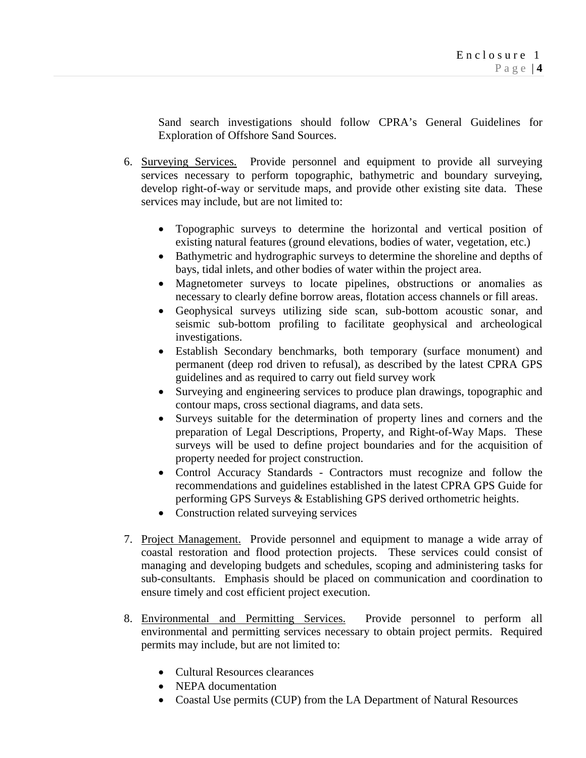Sand search investigations should follow CPRA's General Guidelines for Exploration of Offshore Sand Sources.

- 6. Surveying Services. Provide personnel and equipment to provide all surveying services necessary to perform topographic, bathymetric and boundary surveying, develop right-of-way or servitude maps, and provide other existing site data. These services may include, but are not limited to:
	- Topographic surveys to determine the horizontal and vertical position of existing natural features (ground elevations, bodies of water, vegetation, etc.)
	- Bathymetric and hydrographic surveys to determine the shoreline and depths of bays, tidal inlets, and other bodies of water within the project area.
	- Magnetometer surveys to locate pipelines, obstructions or anomalies as necessary to clearly define borrow areas, flotation access channels or fill areas.
	- Geophysical surveys utilizing side scan, sub-bottom acoustic sonar, and seismic sub-bottom profiling to facilitate geophysical and archeological investigations.
	- Establish Secondary benchmarks, both temporary (surface monument) and permanent (deep rod driven to refusal), as described by the latest CPRA GPS guidelines and as required to carry out field survey work
	- Surveying and engineering services to produce plan drawings, topographic and contour maps, cross sectional diagrams, and data sets.
	- Surveys suitable for the determination of property lines and corners and the preparation of Legal Descriptions, Property, and Right-of-Way Maps. These surveys will be used to define project boundaries and for the acquisition of property needed for project construction.
	- Control Accuracy Standards Contractors must recognize and follow the recommendations and guidelines established in the latest CPRA GPS Guide for performing GPS Surveys & Establishing GPS derived orthometric heights.
	- Construction related surveying services
- 7. Project Management. Provide personnel and equipment to manage a wide array of coastal restoration and flood protection projects. These services could consist of managing and developing budgets and schedules, scoping and administering tasks for sub-consultants. Emphasis should be placed on communication and coordination to ensure timely and cost efficient project execution.
- 8. Environmental and Permitting Services. Provide personnel to perform all environmental and permitting services necessary to obtain project permits. Required permits may include, but are not limited to:
	- Cultural Resources clearances
	- NEPA documentation
	- Coastal Use permits (CUP) from the LA Department of Natural Resources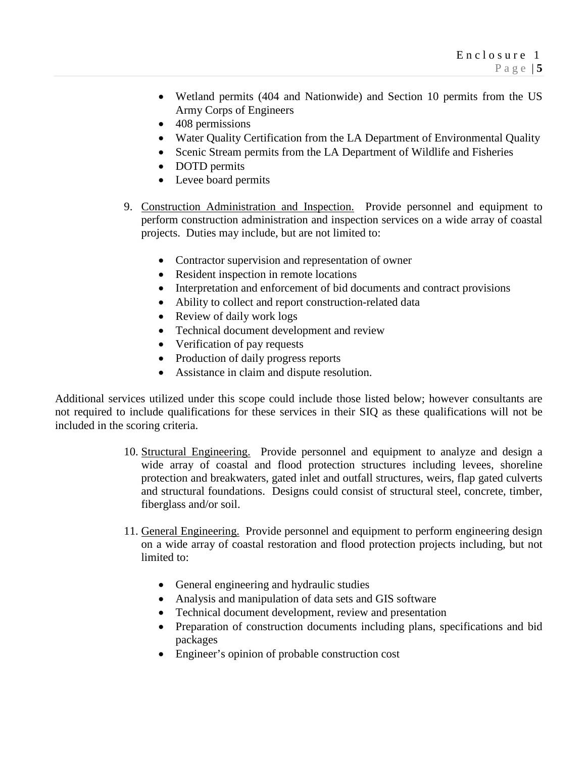- Wetland permits (404 and Nationwide) and Section 10 permits from the US Army Corps of Engineers
- 408 permissions
- Water Quality Certification from the LA Department of Environmental Quality
- Scenic Stream permits from the LA Department of Wildlife and Fisheries
- DOTD permits
- Levee board permits
- 9. Construction Administration and Inspection. Provide personnel and equipment to perform construction administration and inspection services on a wide array of coastal projects. Duties may include, but are not limited to:
	- Contractor supervision and representation of owner
	- Resident inspection in remote locations
	- Interpretation and enforcement of bid documents and contract provisions
	- Ability to collect and report construction-related data
	- Review of daily work logs
	- Technical document development and review
	- Verification of pay requests
	- Production of daily progress reports
	- Assistance in claim and dispute resolution.

Additional services utilized under this scope could include those listed below; however consultants are not required to include qualifications for these services in their SIQ as these qualifications will not be included in the scoring criteria.

- 10. Structural Engineering. Provide personnel and equipment to analyze and design a wide array of coastal and flood protection structures including levees, shoreline protection and breakwaters, gated inlet and outfall structures, weirs, flap gated culverts and structural foundations. Designs could consist of structural steel, concrete, timber, fiberglass and/or soil.
- 11. General Engineering. Provide personnel and equipment to perform engineering design on a wide array of coastal restoration and flood protection projects including, but not limited to:
	- General engineering and hydraulic studies
	- Analysis and manipulation of data sets and GIS software
	- Technical document development, review and presentation
	- Preparation of construction documents including plans, specifications and bid packages
	- Engineer's opinion of probable construction cost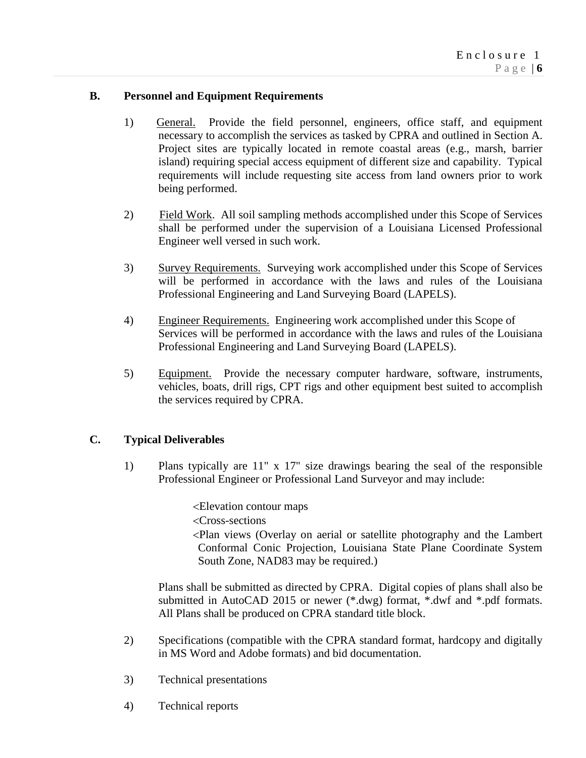## **B. Personnel and Equipment Requirements**

- 1) General. Provide the field personnel, engineers, office staff, and equipment necessary to accomplish the services as tasked by CPRA and outlined in Section A. Project sites are typically located in remote coastal areas (e.g., marsh, barrier island) requiring special access equipment of different size and capability. Typical requirements will include requesting site access from land owners prior to work being performed.
- 2) Field Work. All soil sampling methods accomplished under this Scope of Services shall be performed under the supervision of a Louisiana Licensed Professional Engineer well versed in such work.
- 3) Survey Requirements. Surveying work accomplished under this Scope of Services will be performed in accordance with the laws and rules of the Louisiana Professional Engineering and Land Surveying Board (LAPELS).
- 4) Engineer Requirements. Engineering work accomplished under this Scope of Services will be performed in accordance with the laws and rules of the Louisiana Professional Engineering and Land Surveying Board (LAPELS).
- 5) Equipment. Provide the necessary computer hardware, software, instruments, vehicles, boats, drill rigs, CPT rigs and other equipment best suited to accomplish the services required by CPRA.

#### **C. Typical Deliverables**

1) Plans typically are 11" x 17" size drawings bearing the seal of the responsible Professional Engineer or Professional Land Surveyor and may include:

<Elevation contour maps

<Cross-sections

<Plan views (Overlay on aerial or satellite photography and the Lambert Conformal Conic Projection, Louisiana State Plane Coordinate System South Zone, NAD83 may be required.)

Plans shall be submitted as directed by CPRA. Digital copies of plans shall also be submitted in AutoCAD 2015 or newer (\*.dwg) format, \*.dwf and \*.pdf formats. All Plans shall be produced on CPRA standard title block.

- 2) Specifications (compatible with the CPRA standard format, hardcopy and digitally in MS Word and Adobe formats) and bid documentation.
- 3) Technical presentations
- 4) Technical reports